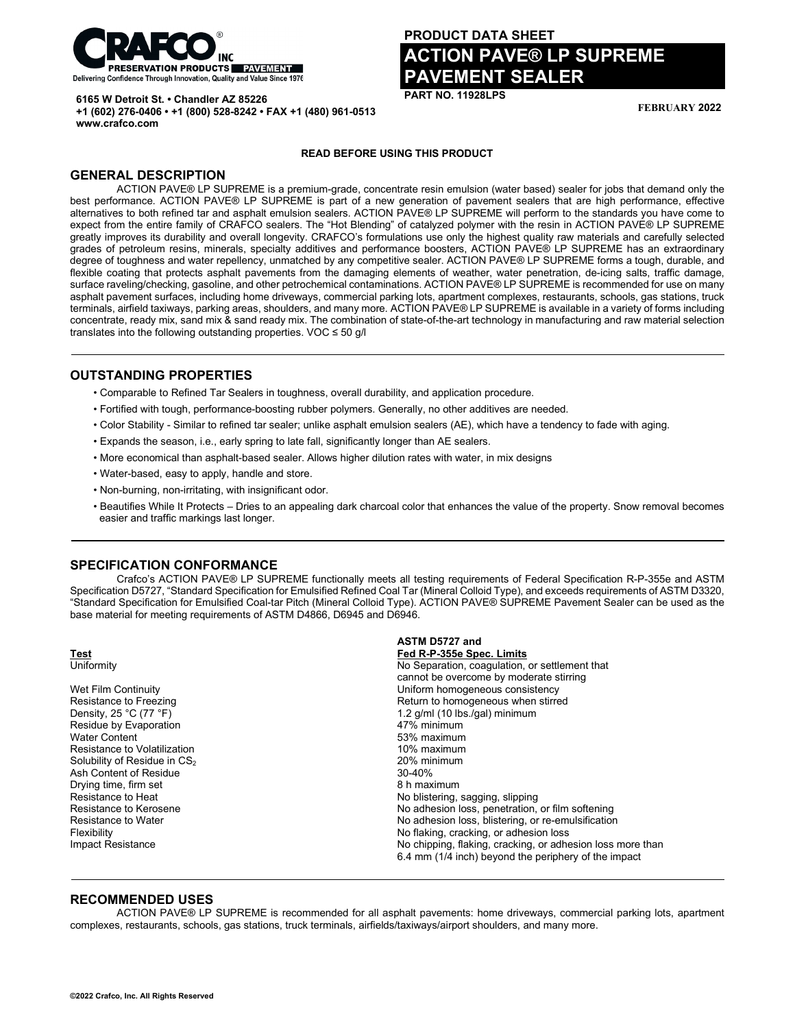

**+1 (602) 276-0406 • +1 (800) 528-8242 • FAX +1 (480) 961-0513**

**6165 W Detroit St. • Chandler AZ 85226**

# **PRODUCT DATA SHEET ACTION PAVE® LP SUPREME PAVEMENT SEALER**

**PART NO. 11928LPS**

**FEBRUARY 2022**

#### **READ BEFORE USING THIS PRODUCT**

# **GENERAL DESCRIPTION**

**www.crafco.com**

ACTION PAVE® LP SUPREME is a premium-grade, concentrate resin emulsion (water based) sealer for jobs that demand only the best performance. ACTION PAVE® LP SUPREME is part of a new generation of pavement sealers that are high performance, effective alternatives to both refined tar and asphalt emulsion sealers. ACTION PAVE® LP SUPREME will perform to the standards you have come to expect from the entire family of CRAFCO sealers. The "Hot Blending" of catalyzed polymer with the resin in ACTION PAVE® LP SUPREME greatly improves its durability and overall longevity. CRAFCO's formulations use only the highest quality raw materials and carefully selected grades of petroleum resins, minerals, specialty additives and performance boosters, ACTION PAVE® LP SUPREME has an extraordinary degree of toughness and water repellency, unmatched by any competitive sealer. ACTION PAVE® LP SUPREME forms a tough, durable, and flexible coating that protects asphalt pavements from the damaging elements of weather, water penetration, de-icing salts, traffic damage, surface raveling/checking, gasoline, and other petrochemical contaminations. ACTION PAVE® LP SUPREME is recommended for use on many asphalt pavement surfaces, including home driveways, commercial parking lots, apartment complexes, restaurants, schools, gas stations, truck terminals, airfield taxiways, parking areas, shoulders, and many more. ACTION PAVE® LP SUPREME is available in a variety of forms including concentrate, ready mix, sand mix & sand ready mix. The combination of state-of-the-art technology in manufacturing and raw material selection translates into the following outstanding properties. VOC ≤ 50 g/l

#### **OUTSTANDING PROPERTIES**

- Comparable to Refined Tar Sealers in toughness, overall durability, and application procedure.
- Fortified with tough, performance-boosting rubber polymers. Generally, no other additives are needed.
- Color Stability Similar to refined tar sealer; unlike asphalt emulsion sealers (AE), which have a tendency to fade with aging.
- Expands the season, i.e., early spring to late fall, significantly longer than AE sealers.
- More economical than asphalt-based sealer. Allows higher dilution rates with water, in mix designs
- Water-based, easy to apply, handle and store.
- Non-burning, non-irritating, with insignificant odor.
- Beautifies While It Protects Dries to an appealing dark charcoal color that enhances the value of the property. Snow removal becomes easier and traffic markings last longer.

#### **SPECIFICATION CONFORMANCE**

Crafco's ACTION PAVE® LP SUPREME functionally meets all testing requirements of Federal Specification R-P-355e and ASTM Specification D5727, "Standard Specification for Emulsified Refined Coal Tar (Mineral Colloid Type), and exceeds requirements of ASTM D3320, "Standard Specification for Emulsified Coal-tar Pitch (Mineral Colloid Type). ACTION PAVE® SUPREME Pavement Sealer can be used as the base material for meeting requirements of ASTM D4866, D6945 and D6946.

|                                            | ASTM D5727 and                                             |
|--------------------------------------------|------------------------------------------------------------|
| <b>Test</b>                                | Fed R-P-355e Spec. Limits                                  |
| Uniformity                                 | No Separation, coagulation, or settlement that             |
|                                            | cannot be overcome by moderate stirring                    |
| Wet Film Continuity                        | Uniform homogeneous consistency                            |
| Resistance to Freezing                     | Return to homogeneous when stirred                         |
| Density, 25 $^{\circ}$ C (77 $^{\circ}$ F) | 1.2 $g/ml$ (10 lbs./gal) minimum                           |
| Residue by Evaporation                     | 47% minimum                                                |
| <b>Water Content</b>                       | 53% maximum                                                |
| Resistance to Volatilization               | 10% maximum                                                |
| Solubility of Residue in CS <sub>2</sub>   | 20% minimum                                                |
| Ash Content of Residue                     | $30 - 40%$                                                 |
| Drying time, firm set                      | 8 h maximum                                                |
| Resistance to Heat                         | No blistering, sagging, slipping                           |
| Resistance to Kerosene                     | No adhesion loss, penetration, or film softening           |
| <b>Resistance to Water</b>                 | No adhesion loss, blistering, or re-emulsification         |
| Flexibility                                | No flaking, cracking, or adhesion loss                     |
| Impact Resistance                          | No chipping, flaking, cracking, or adhesion loss more than |
|                                            | 6.4 mm (1/4 inch) beyond the periphery of the impact       |

#### **RECOMMENDED USES**

ACTION PAVE® LP SUPREME is recommended for all asphalt pavements: home driveways, commercial parking lots, apartment complexes, restaurants, schools, gas stations, truck terminals, airfields/taxiways/airport shoulders, and many more.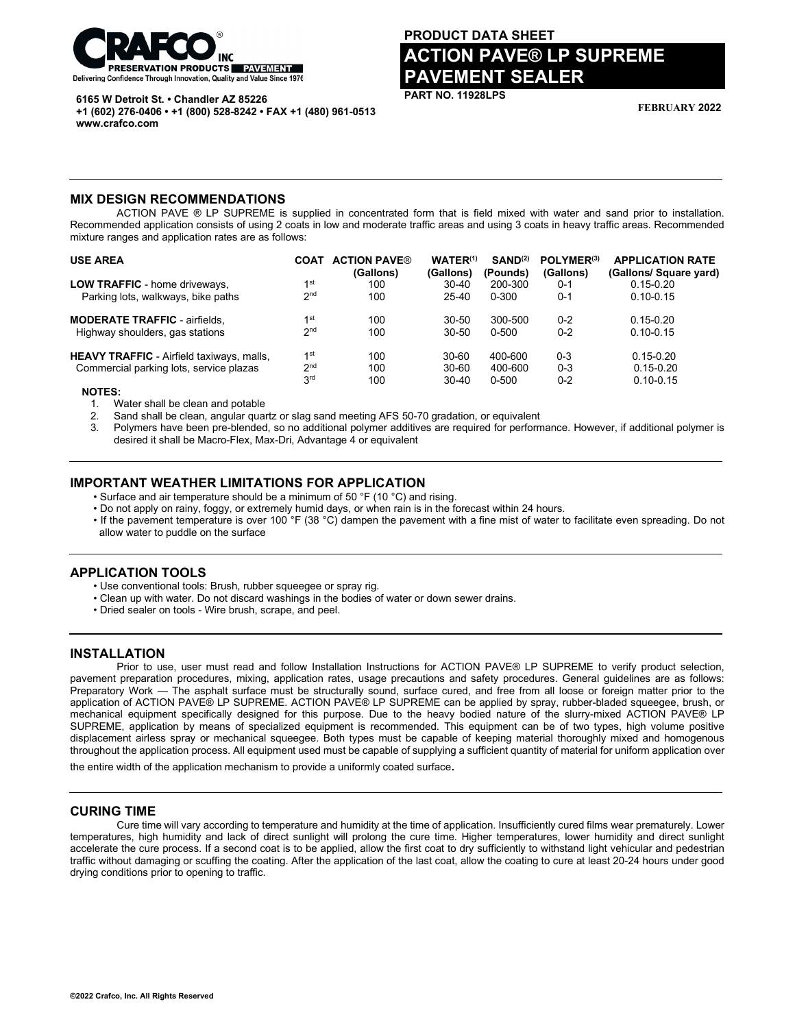

**6165 W Detroit St. • Chandler AZ 85226**

**+1 (602) 276-0406 • +1 (800) 528-8242 • FAX +1 (480) 961-0513 www.crafco.com**

# **PRODUCT DATA SHEET ACTION PAVE® LP SUPREME PAVEMENT SEALER**

**PART NO. 11928LPS**

**FEBRUARY 2022**

#### **MIX DESIGN RECOMMENDATIONS**

ACTION PAVE ® LP SUPREME is supplied in concentrated form that is field mixed with water and sand prior to installation. Recommended application consists of using 2 coats in low and moderate traffic areas and using 3 coats in heavy traffic areas. Recommended mixture ranges and application rates are as follows:

| <b>COAT</b>     | <b>ACTION PAVE®</b><br>(Gallons) | $WATER^{(1)}$<br>(Gallons) | SAND <sup>(2)</sup><br>(Pounds) | POLYMER <sup>(3)</sup><br>(Gallons) | <b>APPLICATION RATE</b><br>(Gallons/ Square yard) |
|-----------------|----------------------------------|----------------------------|---------------------------------|-------------------------------------|---------------------------------------------------|
| 1 <sup>st</sup> | 100                              | $30 - 40$                  | 200-300                         | $0 - 1$                             | $0.15 - 0.20$                                     |
| 2 <sup>nd</sup> | 100                              | 25-40                      | 0-300                           | $0 - 1$                             | $0.10 - 0.15$                                     |
| 1st             | 100                              | $30 - 50$                  | 300-500                         | $0 - 2$                             | $0.15 - 0.20$                                     |
| 2 <sub>nd</sub> | 100                              | $30 - 50$                  | 0-500                           | $0 - 2$                             | $0.10 - 0.15$                                     |
| 1st             | 100                              | 30-60                      | 400-600                         | $0 - 3$                             | $0.15 - 0.20$                                     |
| 2 <sub>nd</sub> | 100                              | $30 - 60$                  | 400-600                         | $0 - 3$                             | $0.15 - 0.20$                                     |
| 3 <sup>rd</sup> | 100                              | $30 - 40$                  | 0-500                           | $0 - 2$                             | $0.10 - 0.15$                                     |
|                 |                                  |                            |                                 |                                     |                                                   |

 **NOTES:**

1. Water shall be clean and potable

2. Sand shall be clean, angular quartz or slag sand meeting AFS 50-70 gradation, or equivalent

3. Polymers have been pre-blended, so no additional polymer additives are required for performance. However, if additional polymer is desired it shall be Macro-Flex, Max-Dri, Advantage 4 or equivalent

# **IMPORTANT WEATHER LIMITATIONS FOR APPLICATION**

• Surface and air temperature should be a minimum of 50 °F (10 °C) and rising.

• Do not apply on rainy, foggy, or extremely humid days, or when rain is in the forecast within 24 hours.

• If the pavement temperature is over 100 °F (38 °C) dampen the pavement with a fine mist of water to facilitate even spreading. Do not allow water to puddle on the surface

# **APPLICATION TOOLS**

• Use conventional tools: Brush, rubber squeegee or spray rig.

- Clean up with water. Do not discard washings in the bodies of water or down sewer drains.
- Dried sealer on tools Wire brush, scrape, and peel.

# **INSTALLATION**

Prior to use, user must read and follow Installation Instructions for ACTION PAVE® LP SUPREME to verify product selection, pavement preparation procedures, mixing, application rates, usage precautions and safety procedures. General guidelines are as follows: Preparatory Work — The asphalt surface must be structurally sound, surface cured, and free from all loose or foreign matter prior to the application of ACTION PAVE® LP SUPREME. ACTION PAVE® LP SUPREME can be applied by spray, rubber-bladed squeegee, brush, or mechanical equipment specifically designed for this purpose. Due to the heavy bodied nature of the slurry-mixed ACTION PAVE® LP SUPREME, application by means of specialized equipment is recommended. This equipment can be of two types, high volume positive displacement airless spray or mechanical squeegee. Both types must be capable of keeping material thoroughly mixed and homogenous throughout the application process. All equipment used must be capable of supplying a sufficient quantity of material for uniform application over

the entire width of the application mechanism to provide a uniformly coated surface.

#### **CURING TIME**

Cure time will vary according to temperature and humidity at the time of application. Insufficiently cured films wear prematurely. Lower temperatures, high humidity and lack of direct sunlight will prolong the cure time. Higher temperatures, lower humidity and direct sunlight accelerate the cure process. If a second coat is to be applied, allow the first coat to dry sufficiently to withstand light vehicular and pedestrian traffic without damaging or scuffing the coating. After the application of the last coat, allow the coating to cure at least 20-24 hours under good drying conditions prior to opening to traffic.